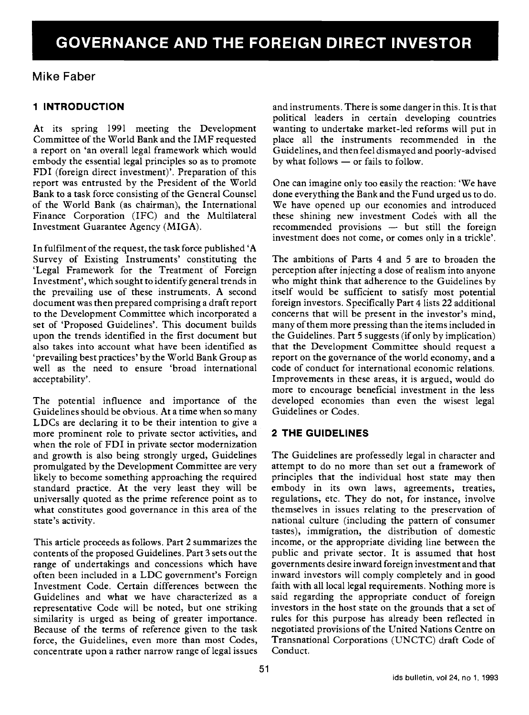# Mike Faber

### 1 INTRODUCTION

At its spring 1991 meeting the Development Committee of the World Bank and the IMF requested a report on 'an overall legal framework which would embody the essential legal principles so as to promote FDI (foreign direct investment)'. Preparation of this report was entrusted by the President of the World Bank to a task force consisting of the General Counsel of the World Bank (as chairman), the International Finance Corporation (IFC) and the Multilateral Investment Guarantee Agency (MIGA).

In fulfilment of the request, the task force published 'A Survey of Existing Instruments' constituting the 'Legal Framework for the Treatment of Foreign Investment', which sought to identify general trends in the prevailing use of these instruments. A second document was then prepared comprising a draft report to the Development Committee which incorporated a set of 'Proposed Guidelines'. This document builds upon the trends identified in the first document but also takes into account what have been identified as 'prevailing best practices' by the World Bank Group as well as the need to ensure 'broad international acceptability'.

The potential influence and importance of the Guidelines should be obvious. At a time when so many LDCs are declaring it to be their intention to give a more prominent role to private sector activities, and when the role of FDI in private sector modernization and growth is also being strongly urged, Guidelines promulgated by the Development Committee are very likely to become something approaching the required standard practice. At the very least they will be universally quoted as the prime reference point as to what constitutes good governance in this area of the state's activity.

This article proceeds as follows. Part 2 summarizes the contents of the proposed Guidelines. Part 3 sets out the range of undertakings and concessions which have often been included in a LDC government's Foreign Investment Code. Certain differences between the Guidelines and what we have characterized as a representative Code will be noted, but one striking similarity is urged as being of greater importance. Because of the terms of reference given to the task force, the Guidelines, even more than most Codes, concentrate upon a rather narrow range of legal issues

and instruments. There is some danger in this. It is that political leaders in certain developing countries wanting to undertake market-led reforms will put in place all the instruments recommended in the Guidelines, and then feel dismayed and poorly-advised by what follows - or fails to follow.

One can imagine only too easily the reaction: 'We have done everything the Bank and the Fund urged us to do. We have opened up our economies and introduced these shining new investment Codes with all the  $recommended$  provisions  $-$  but still the foreign investment does not come, or comes only in a trickle'.

The ambitions of Parts 4 and 5 are to broaden the perception after injecting a dose of realism into anyone who might think that adherence to the Guidelines by itself would be sufficient to satisfy most potential foreign investors. Specifically Part 4 lists 22 additional concerns that will be present in the investor's mind, many of them more pressing than the items included in the Guidelines. Part 5 suggests (if only by implication) that the Development Committee should request a report on the governance of the world economy, and a code of conduct for international economic relations. Improvements in these areas, it is argued, would do more to encourage beneficial investment in the less developed economies than even the wisest legal Guidelines or Codes.

### 2 THE GUIDELINES

The Guidelines are professedly legal in character and attempt to do no more than set out a framework of principles that the individual host state may then embody in its own laws, agreements, treaties, regulations, etc. They do not, for instance, involve themselves in issues relating to the preservation of national culture (including the pattern of consumer tastes), immigration, the distribution of domestic income, or the appropriate dividing line between the public and private sector. It is assumed that host governments desire inward foreign investment and that inward investors will comply completely and in good faith with all local legal requirements. Nothing more is said regarding the appropriate conduct of foreign investors in the host state on the grounds that a set of rules for this purpose has already been reflected in negotiated provisions of the United Nations Centre on Transnational Corporations (UNCTC) draft Code of Conduct.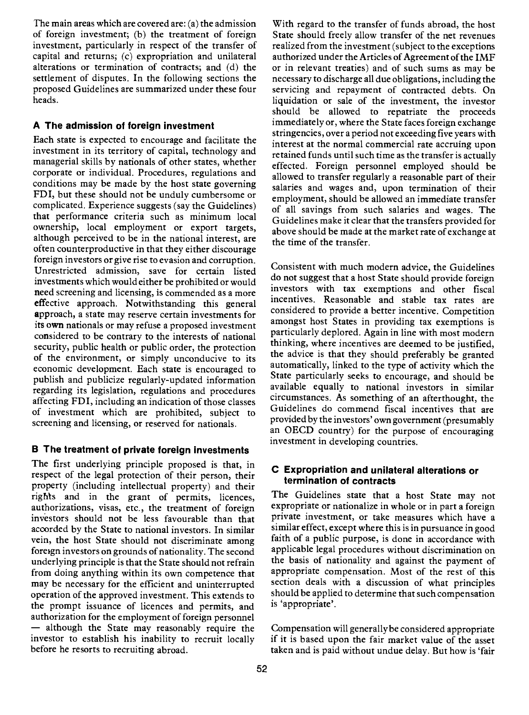The main areas which are covered are: (a) the admission of foreign investment; (b) the treatment of foreign investment, particularly in respect of the transfer of capital and returns; (c) expropriation and unilateral alterations or termination of contracts; and (d) the settlement of disputes. In the following sections the proposed Guidelines are summarized under these four heads.

### A The admission of foreign investment

Each state is expected to encourage and facilitate the investment in its territory of capital, technology and managerial skills by nationals of other states, whether corporate or individual. Procedures, regulations and conditions may be made by the host state governing FDI, but these should not be unduly cumbersome or complicated. Experience suggests (say the Guidelines) that performance criteria such as minimum local ownership, local employment or export targets, although perceived to be in the national interest, are often counterproductive in that they either discourage foreign investors or give rise to evasion and corruption. Unrestricted admission, save for certain listed investments which would either be prohibited or would need screening and licensing, is commended as a more<br>offective, annoyable Naturithatending, this general incentives. Reasonable and stable tax rates are effective approach. Notwithstanding this general approach, a state may reserve certain investments for its own nationals or may refuse a proposed investment considered to be contrary to the interests of national security, public health or public order, the protection of the environment, or simply unconducive to its economic development. Each state is encouraged to publish and publicize regularly-updated information regarding its legislation, regulations and procedures affecting FDI, including an indication of those classes of investment which are prohibited, subject to screening and licensing, or reserved for nationals.

### B The treatment of private foreign investments

The first underlying principle proposed is that, in respect of the legal protection of their person, their property (including intellectual property) and their rights and in the grant of permits, licences, authorizations, visas, etc., the treatment of foreign invèstors should not be less favourable than that accorded by the State to national investors. In similar vein, the host State should not discriminate among foregn investors on grounds of nationality. The second underlying principle is that the State should not refrain from doing anything within its own competence that may be necessary for the efficient and uninterrupted operation of the approved investment. This extends to the prompt issuance of licences and permits, and authorization for the employment of foreign personnel - although the State may reasonably require the investor to establish his inability to recruit locally before he resorts to recruiting abroad.

With regard to the transfer of funds abroad, the host State should freely allow transfer of the net revenues realized from the investment (subject to the exceptions authorized under the Articles of Agreement of the IMF or in relevant treaties) and of such sums as may be necessary to discharge all due obligations, including the servicing and repayment of contracted debts. On liquidation or sale of the investment, the investor should be allowed to repatriate the proceeds immediately or, where the State faces foreign exchange stringencies, over a period not exceeding five years with interest at the normal commercial rate accruing upon retained funds until such time as the transfer is actually effected. Foreign personnel employed should be allowed to transfer regularly a reasonable part of their salaries and wages and, upon termination of their employment, should be allowed an immediate transfer of all savings from such salaries and wages. The Guidelines make it clear that the transfers provided for above should be made at the market rate of exchange at the time of the transfer.

Consistent with much modern advice, the Guidelines do not suggest that a host State should provide foreign investors with tax exemptions and other fiscal considered to provide a better incentive. Competition amongst host States in providing tax exemptions is particularly deplored. Again in line with most modern thinking, where incentives are deemed to be justified, the advice is that they should preferably be granted automatically, linked to the type of activity which the State particularly seeks to encourage, and should be available equally to national investors in similar circumstances. As something of an afterthought, the Guidelines do commend fiscal incentives that are provided by the investors' own government (presumably an OECD country) for the purpose of encouraging investment in developing countries.

#### C Expropriation and unilateral alterations or termination of contracts

The Guidelines state that a host State may not expropriate or nationalize in whole or in part a foreign private investment, or take measures which have a similar effect, except where this is in pursuance in good faith of a public purpose, is done in accordance with applicable legal procedures without discrimination on the basis of nationality and against the payment of appropriate compensation. Most of the rest of this section deals with a discussion of what principles should be applied to determine that such compensation is 'appropriate'.

Compensation will generally be considered appropriate if it is based upon the fair market value of the asset taken and is paid without undue delay. But how is 'fair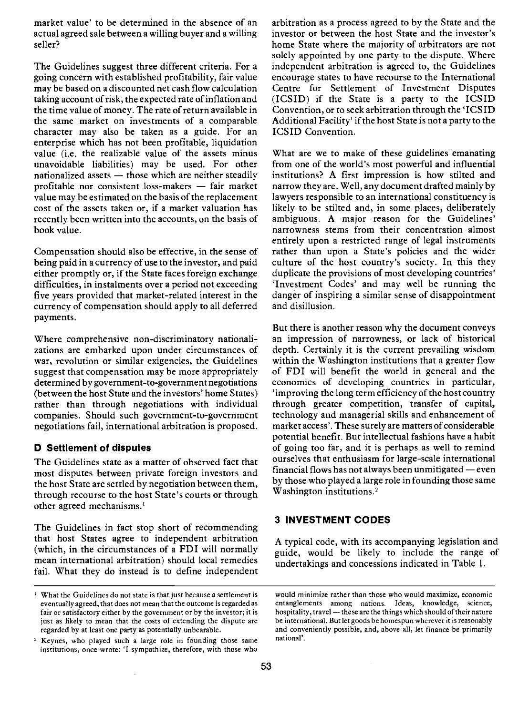market value' to be determined in the absence of an actual agreed sale between a willing buyer and a willing seller?

The Guidelines suggest three different criteria. For a going concern with established profitability, fair value may be based on a discounted net cash flow calculation taking account of risk, the expected rate of inflation and the time value of money. The rate of return available in the same market on investments of a comparable character may also be taken as a guide. For an enterprise which has not been profitable, liquidation value (i.e. the realizable value of the assets minus unavoidable liabilities) may be used. For other nationalized assets  $-$  those which are neither steadily profitable nor consistent loss-makers  $-$  fair market value may be estimated on the basis of the replacement cost of the assets taken or, if a market valuation has recently been written into the accounts, on the basis of book value.

Compensation should also be effective, in the sense of being paid in a currency of use to the investor, and paid either promptly or, if the State faces foreign exchange difficulties, in instalments over a period not exceeding five years provided that market-related interest in the currency of compensation should apply to all deferred payments.

Where comprehensive non-discriminatory nationalizations are embarked upon under circumstances of war, revolution or similar exigencies, the Guidelines suggest that compensation may be more appropriately determined by government-to-government negotiations (between the host State and the investors' home States) rather than through negotiations with individual companies. Should such government-to-government negotiations fail, international arbitration is proposed.

### D Settlement of disputes

The Guidelines state as a matter of observed fact that most disputes between private foreign investors and the host State are settled by negotiation between them, through recourse to the host State's courts or through other agreed mechanisms.<sup>1</sup>

The Guidelines in fact stop short of recommending that host States agree to independent arbitration (which, in the circumstances of a FDI will normally mean international arbitration) should local remedies fail. What they do instead is to define independent arbitration as a process agreed to by the State and the investor or between the host State and the investor's home State where the majority of arbitrators are not solely appointed by one party to the dispute. Where independent arbitration is agreed to, the Guidelines encourage states to have recourse to the International Centre for Settlement of Investment Disputes (ICSID) if the State is a party to the ICSID Convention, or to seek arbitration through the 'ICSID Additional Facility' if the host State is not a party to the ICSID Convention.

What are we to make of these guidelines emanating from one of the world's most powerful and influential institutions? A first impression is how stilted and narrow they are. Well, any document drafted mainly by lawyers responsible to an international constituency is likely to be stilted and, in some places, deliberately ambiguous. A major reason for the Guidelines' narrowness stems from their concentration almost entirely upon a restricted range of legal instruments rather than upon a State's policies and the wider culture of the host country's society. In this they duplicate the provisions of most developing countries' 'Investment Codes' and may well be running the danger of inspiring a similar sense of disappointment and disillusion.

But there is another reason why the document conveys an impression of narrowness, or lack of historical depth. Certainly it is the current prevailing wisdom within the Washington institutions that a greater flow of FDI will benefit the world in general and the economics of developing countries in particular, 'improving the long term efficiency of the host country through greater competition, transfer of capital, technology and managerial skills and enhancement of market access'. These surely are matters of considerable potential benefit. But intellectual fashions have a habit of going too far, and it is perhaps as well to remind ourselves that enthusiasm for large-scale international financial flows has not always been unmitigated  $-$  even by those who played a large role in founding those same Washington institutions.<sup>2</sup>

### 3 INVESTMENT CODES

A typical code, with its accompanying legislation and guide, would be likely to include the range of undertakings and concessions indicated in Table 1.

What the Guidelines do not state is that just because a settlement is eventually agreed, that does not mean that the outcome is regarded as fair or satisfactory either by the government or by the investor; it is just as likely to mean that the costs of extending the dispute are regarded by at least one party as potentially unbearable.

<sup>2</sup> Keynes, who played such a large role in founding those same institutions, once wrote: 'I sympathize, therefore, with those who

would minimize rather than those who would maximize, economic entanglements among nations. Ideas, knowledge, science, hospitality, travel - these are the things which should of their nature be international. But let goods be homespun wherever it is reasonably and conveniently possible, and, above all, let finance be primarily national'.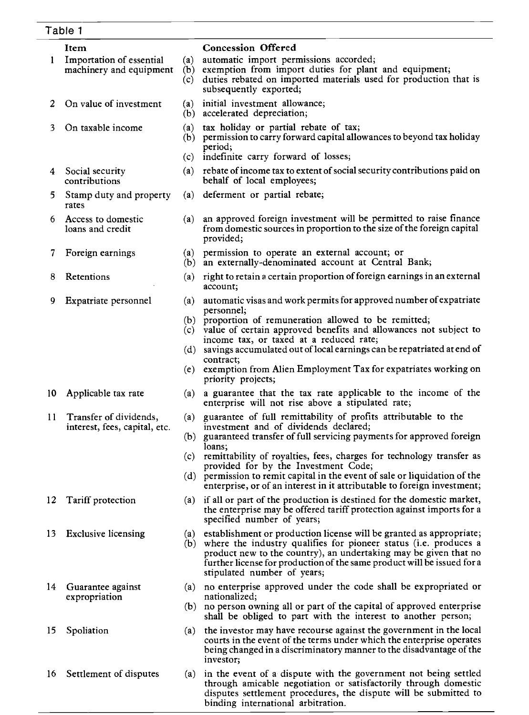# Table 1

| 1    | Item<br>Importation of essential                        | (a)        | <b>Concession Offered</b><br>automatic import permissions accorded;                                                                                                                                                                                                                                                                                                                        |
|------|---------------------------------------------------------|------------|--------------------------------------------------------------------------------------------------------------------------------------------------------------------------------------------------------------------------------------------------------------------------------------------------------------------------------------------------------------------------------------------|
|      | machinery and equipment                                 | (b)<br>(c) | exemption from import duties for plant and equipment;<br>duties rebated on imported materials used for production that is<br>subsequently exported;                                                                                                                                                                                                                                        |
| 2    | On value of investment                                  |            | (a) initial investment allowance;<br>(b) accelerated depreciation;                                                                                                                                                                                                                                                                                                                         |
| 3    | On taxable income                                       | (a)        | tax holiday or partial rebate of tax;<br>(b) permission to carry forward capital allowances to beyond tax holiday<br>period:                                                                                                                                                                                                                                                               |
|      |                                                         |            | (c) indefinite carry forward of losses;                                                                                                                                                                                                                                                                                                                                                    |
|      | 4 Social security<br>contributions                      |            | (a) rebate of income tax to extent of social security contributions paid on<br>behalf of local employees;                                                                                                                                                                                                                                                                                  |
| 5.   | Stamp duty and property<br>rates                        |            | (a) deferment or partial rebate;                                                                                                                                                                                                                                                                                                                                                           |
|      | 6 Access to domestic<br>loans and credit                | (a)        | an approved foreign investment will be permitted to raise finance<br>from domestic sources in proportion to the size of the foreign capital<br>provided;                                                                                                                                                                                                                                   |
| 7    | Foreign earnings                                        |            | (a) permission to operate an external account; or<br>(b) an externally-denominated account at Central Bank;                                                                                                                                                                                                                                                                                |
| 8    | Retentions                                              | (a)        | right to retain a certain proportion of foreign earnings in an external<br>account;                                                                                                                                                                                                                                                                                                        |
| 9    | Expatriate personnel                                    | (a)        | automatic visas and work permits for approved number of expatriate<br>personnel;<br>(b) proportion of remuneration allowed to be remitted;<br>(c) value of certain approved benefits and allowances not subject to                                                                                                                                                                         |
|      |                                                         |            | income tax, or taxed at a reduced rate;<br>(d) savings accumulated out of local earnings can be repatriated at end of                                                                                                                                                                                                                                                                      |
|      |                                                         |            | contract;<br>(e) exemption from Alien Employment Tax for expatriates working on<br>priority projects;                                                                                                                                                                                                                                                                                      |
| 10 - | Applicable tax rate                                     |            | (a) a guarantee that the tax rate applicable to the income of the<br>enterprise will not rise above a stipulated rate;                                                                                                                                                                                                                                                                     |
| 11   | Transfer of dividends,<br>interest, fees, capital, etc. | (a)<br>(c) | guarantee of full remittability of profits attributable to the<br>investment and of dividends declared;<br>(b) guaranteed transfer of full servicing payments for approved foreign<br>loans;<br>remittability of royalties, fees, charges for technology transfer as<br>provided for by the Investment Code;<br>(d) permission to remit capital in the event of sale or liquidation of the |
| 12   | Tariff protection                                       |            | enterprise, or of an interest in it attributable to foreign investment;<br>(a) if all or part of the production is destined for the domestic market,<br>the enterprise may be offered tariff protection against imports for a<br>specified number of years;                                                                                                                                |
| 13   | <b>Exclusive licensing</b>                              |            | (a) establishment or production license will be granted as appropriate;<br>(b) where the industry qualifies for pioneer status (i.e. produces a<br>product new to the country), an undertaking may be given that no<br>further license for production of the same product will be issued for a<br>stipulated number of years;                                                              |
| 14   | Guarantee against<br>expropriation                      |            | (a) no enterprise approved under the code shall be expropriated or<br>nationalized;                                                                                                                                                                                                                                                                                                        |
|      |                                                         |            | (b) no person owning all or part of the capital of approved enterprise<br>shall be obliged to part with the interest to another person;                                                                                                                                                                                                                                                    |
| 15   | Spoliation                                              |            | (a) the investor may have recourse against the government in the local<br>courts in the event of the terms under which the enterprise operates<br>being changed in a discriminatory manner to the disadvantage of the<br>investor;                                                                                                                                                         |
| 16   | Settlement of disputes                                  | (a)        | in the event of a dispute with the government not being settled<br>through amicable negotiation or satisfactorily through domestic<br>disputes settlement procedures, the dispute will be submitted to<br>binding international arbitration.                                                                                                                                               |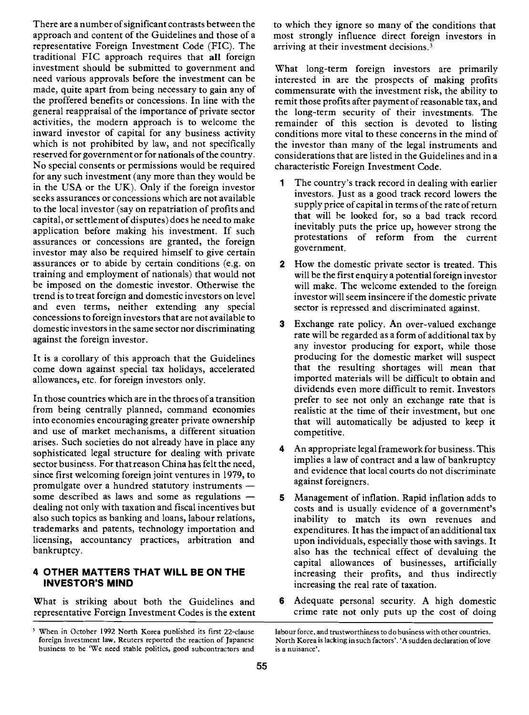There are a number of significant contrasts between the approach and content of the Guidelines and those of a representative Foreign Investment Code (FIG). The traditional FIG approach requires that all foreign investment should be submitted to government and need various approvals before the investment can be made, quite apart from being necessary to gain any of the proffered benefits or concessions. In line with the general reappraisal of the importance of private sector activities, the modern approach is to welcome the inward investor of capital for any business activity which is not prohibited by law, and not specifically reserved for government or for nationals of the country. No special consents or permissions would be required for any such investment (any more than they would be in the USA or the UK). Only if the foreign investor seeks assurances or concessions which are not available to the local investor (say on repatriation of profits and capital, or settlement of disputes) does he need to make application before making his investment. If such assurances or concessions are granted, the foreign investor may also be required himself to give certain assurances or to abide by certain conditions (e.g. on training and employment of nationals) that would not be imposed on the domestic investor. Otherwise the trend is to treat foreign and domestic investors on level and even terms, neither extending any special concessions to foreign investors that are not available to domestic investors in the same sector nor discriminating against the foreign investor.

It is a corollary of this approach that the Guidelines come down against special tax holidays, accelerated allowances, etc. for foreign investors only.

In those countries which are in the throes of a transition from being centrally planned, command economies into economies encouraging greater private ownership and use of market mechanisms, a different situation arises. Such societies do not already have in place any sophisticated legal structure for dealing with private sector business. For that reason China has felt the need, since first welcoming foreign joint ventures in 1979, to promulgate over a hundred statutory instruments some described as laws and some as regulations  $$ dealing not only with taxation and fiscal incentives but also such topics as banking and loans, labour relations, trademarks and patents, technology importation and licensing, accountancy practices, arbitration and bankruptcy.

#### 4 OTHER MATTERS THAT WILL BE ON THE INVESTOR'S MIND

What is striking about both the Guidelines and representative Foreign Investment Codes is the extent to which they ignore so many of the conditions that most strongly influence direct foreign investors in arriving at their investment decisions.<sup>3</sup>

What long-term foreign investors are primarily interested in are the prospects of making profits commensurate with the investment risk, the ability to remit those profits after payment of reasonable tax, and the long-term security of their investments. The remainder of this section is devoted to listing conditions more vital to these concerns in the mind of the investor than many of the legal instruments and considerations that are listed in the Guidelines and in a characteristic Foreign Investment Code.

- The country's track record in dealing with earlier investors. Just as a good track record lowers the supply price of capital in terms of the rate of return that will be looked for, so a bad track record inevitably puts the price up, however strong the protestations of reform from the current government.
- 2 How the domestic private sector is treated. This will be the first enquiry a potential foreign investor will make. The welcome extended to the foreign investor will seem insincere if the domestic private sector is repressed and discriminated against.
- Exchange rate policy. An over-valued exchange rate will be regarded as a form of additional tax by any investor producing for export, while those<br>producing for the domestic market will suspect that the resulting shortages will mean that imported materials will be difficult to obtain and dividends even more difficult to remit. Investors prefer to see not only an exchange rate that is realistic at the time of their investment, but one that will automatically be adjusted to keep it competitive.
- An appropriate legal framework for business. This implies a law of contract and a law of bankruptcy and evidence that local courts do not discriminate against foreigners.
- 5 Management of inflation. Rapid inflation adds to costs and is usually evidence of a government's inability to match its own revenues and expenditures. It has the impact of an additional tax upon individuals, especially those with savings. It also has the technical effect of devaluing the capital allowances of businesses, artificially increasing their profits, and thus indirectly increasing the real rate of taxation.
- 6 Adequate personal security. A high domestic crime rate not only puts up the cost of doing

When in October 1992 North Korea published its first 22-clause foreign investment law, Reuters reported the reaction of Japanese business to be 'We need stable politics, good subcontractors and

labour force, and trustworthiness to do business with other countries. North Korea is lacking in such factors'. 'A sudden declaration of love is a nuisance'.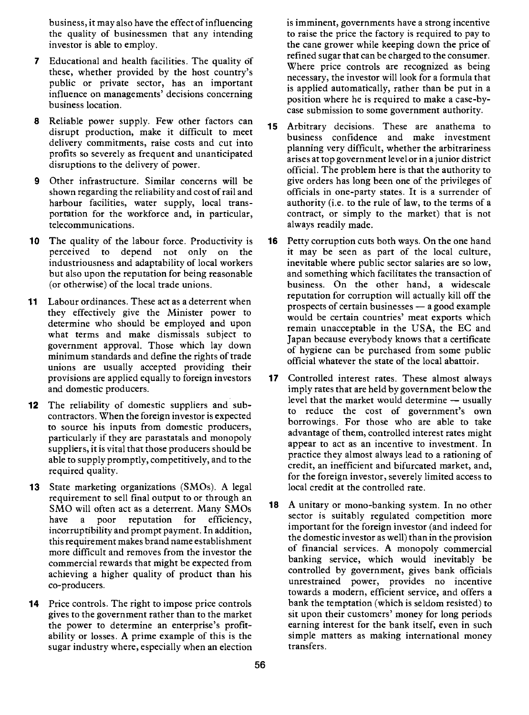business, it may also have the effect of influencing the quality of businessmen that any intending investor is able to employ.

- 7 Educational and health facilities. The quality of these, whether provided by the host country's public or private sector, has an important influence on managements' decisions concerning business location.
- 8 Reliable power supply. Few other factors can disrupt production, make it difficult to meet delivery commitments, raise costs and cut into profits so severely as frequent and unanticipated disruptions to the delivery of power.
- 9 Other infrastructure. Similar concerns will be shown regarding the reliability and cost of rail and harbour facilities, water supply, local transportation for the workforce and, in particular, telecommunications.
- 10 The quality of the labour force. Productivity is 16 perceived to depend not only on the industriousness and adaptability of local workers but also upon the reputation for being reasonable (or otherwise) of the local trade unions.
- 11 Labour ordinances. These act as a deterrent when they effectively give the Minister power to determine who should be employed and upon what terms and make dismissals subject to government approval. Those which lay down minimum standards and define the rights of trade unions are usually accepted providing their provisions are applied equally to foreign investors and domestic producers.
- 12 The reliability of domestic suppliers and subcontractors. When the foreign investor is expected to source his inputs from domestic producers, particularly if they are parastatals and monopoly suppliers, it is vital that those producers should be able to supply promptly, competitively, and to the required quality.
- 13 State marketing organizations (SMOs). A legal requirement to sell final output to or through an<br>SMO will often ast as a determent. Many SMOs 18 SMO will often act as a deterrent. Many SMOs have a poor reputation for efficiency, incorruptibility and prompt payment. In addition, this requirement makes brand name establishment more difficult and removes from the investor the commercial rewards that might be expected from achieving a higher quality of product than his co-producers.
- 14 Price controls. The right to impose price controls gives to the government rather than to the market the power to determine an enterprise's profitability or losses. A prime example of this is the sugar industry where, especially when an election

is imminent, governments have a strong incentive to raise the price the factory is required to pay to the cane grower while keeping down the price of refined sugar that can be charged to the consumer. Where price controls are recognized as being necessary, the investor will look for a formula that is applied automatically, rather than be put in a position where he is required to make a case-bycase submission to some government authority.

- Arbitrary decisions. These are anathema to business confidence and make investment planning very difficult, whether the arbitrariness arises at top government level or in a junior district official. The problem here is that the authority to give orders has long been one of the privileges of officials in one-party states. It is a surrender of authority (i.e. to the rule of law, to the terms of a contract, or simply to the market) that is not always readily made.
- Petty corruption cuts both ways. On the one hand it may be seen as part of the local culture, inevitable where public sector salaries are so low, and something which facilitates the transaction of business. On the other hand, a widescale reputation for corruption will actually kill off the prospects of certain businesses  $-$  a good example would be certain countries' meat exports which remain unacceptable in the USA, the EC and Japan because everybody knows that a certificate of hygiene can be purchased from some public official whatever the state of the local abattoir.
- Controlled interest rates. These almost always imply rates that are held by government below the level that the market would determine  $-$  usually to reduce the cost of government's own borrowings. For those who are able to take advantage of them, controlled interest rates might appear to act as an incentive to investment. In practice they almost always lead to a rationing of credit, an inefficient and bifurcated market, and, for the foreign investor, severely limited access to local credit at the controlled rate.
- A unitary or mono-banking system. In no other sector is suitably regulated competition more important for the foreign investor (and indeed for the domestic investor as well) than in the provision of financial services. A monopoly commercial banking service, which would inevitably be controlled by government, gives bank officials unrestrained power, provides no incentive towards a modern, efficient service, and offers a bank the temptation (which is seldom resisted) to sit upon their customers' money for long periods earning interest for the bank itself, even in such simple matters as making international money transfers.